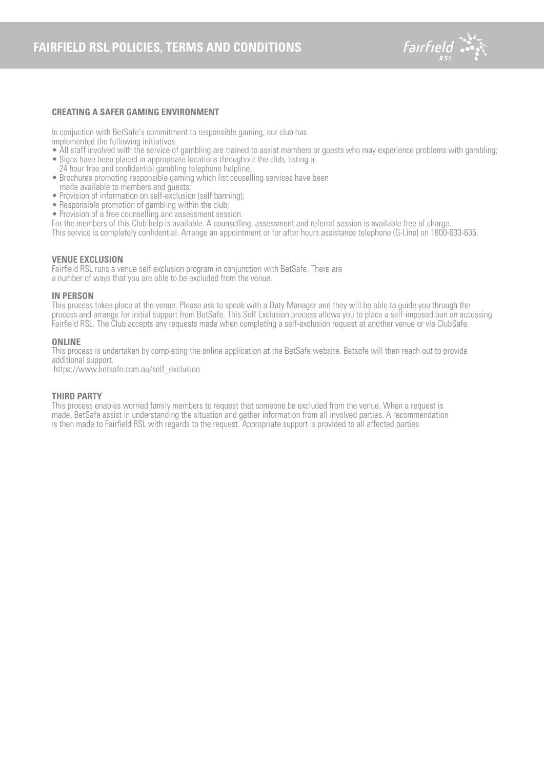

### **CREATING A SAFER GAMING ENVIRONMENT**

In conjuction with BetSafe's commitment to responsible gaming, our club has implemented the following initiatives:

- All staff involved with the service of gambling are trained to assist members or guests who may experience problems with gambling;
- Signs have been placed in appropriate locations throughout the club, listing a 24 hour free and confidential gambling telephone helpline;
- Brochures promoting responsible gaming which list couselling services have been made available to members and guests;
- Provision of information on self-exclusion (self banning);
- Responsible promotion of gambling within the club;
- Provision of a free counselling and assessment session.

For the members of this Club help is available. A counselling, assessment and referral session is available free of charge.

This service is completely confidential. Arrange an appointment or for after hours assistance telephone (G-Line) on 1800-633-635.

### **VENUE EXCLUSION**

Fairfield RSL runs a venue self exclusion program in conjunction with BetSafe. There are a number of ways that you are able to be excluded from the venue.

#### **IN PERSON**

This process takes place at the venue. Please ask to speak with a Duty Manager and they will be able to guide you through the process and arrange for initial support from BetSafe. This Self Exclusion process allows you to place a self-imposed ban on accessing Fairfield RSL. The Club accepts any requests made when completing a self-exclusion request at another venue or via ClubSafe.

#### **ONLINE**

This process is undertaken by completing the online application at the BetSafe website. Betsofe will then reach out to provide additional support.

https://www.betsafe.com.au/self\_exclusion

### **THIRD PARTY**

This process enables worried family members to request that someone be excluded from the venue. When a request is made, BetSafe assist in understanding the situation and gather information from all involved parties. A recommendation is then made to Fairfield RSL with regards to the request. Appropriate support is provided to all affected parties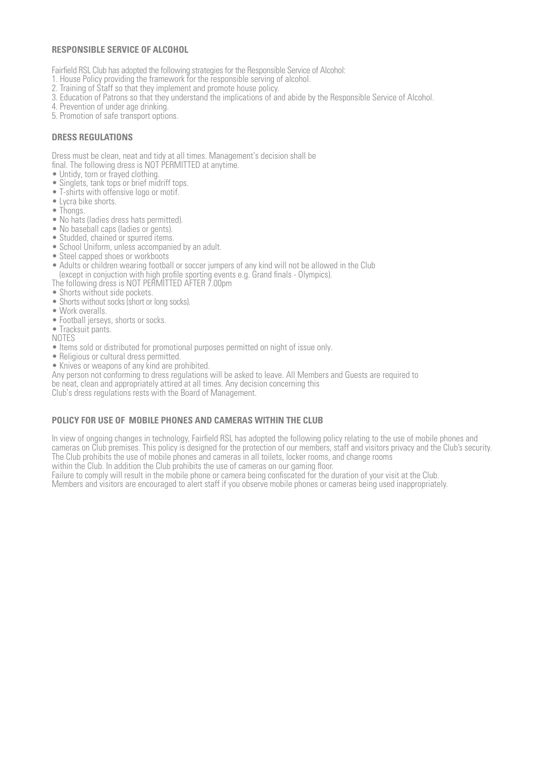### **RESPONSIBLE SERVICE OF ALCOHOL**

Fairfield RSL Club has adopted the following strategies for the Responsible Service of Alcohol:

- 1. House Policy providing the framework for the responsible serving of alcohol.
- 2. Training of Staff so that they implement and promote house policy.
- 3. Education of Patrons so that they understand the implications of and abide by the Responsible Service of Alcohol.
- 4. Prevention of under age drinking.
- 5. Promotion of safe transport options.

# **DRESS REGULATIONS**

Dress must be clean, neat and tidy at all times. Management's decision shall be final. The following dress is NOT PERMITTED at anytime.

- Untidy, torn or frayed clothing.
- Singlets, tank tops or brief midriff tops.
- T-shirts with offensive logo or motif.
- Lycra bike shorts.
- Thongs.
- No hats (ladies dress hats permitted).
- No baseball caps (ladies or gents).
- Studded, chained or spurred items.
- School Uniform, unless accompanied by an adult.
- Steel capped shoes or workboots
- Adults or children wearing football or soccer jumpers of any kind will not be allowed in the Club
- (except in conjuction with high profile sporting events e.g. Grand finals Olympics). The following dress is NOT PERMITTED AFTER 7.00pm
- Shorts without side pockets.
- Shorts without socks (short or long socks).
- Work overalls.
- Football jerseys, shorts or socks.
- Tracksuit pants.
- NOTES
- Items sold or distributed for promotional purposes permitted on night of issue only.
- Religious or cultural dress permitted.
- Knives or weapons of any kind are prohibited.
- Any person not conforming to dress regulations will be asked to leave. All Members and Guests are required to
- be neat, clean and appropriately attired at all times. Any decision concerning this

Club's dress regulations rests with the Board of Management.

### **POLICY FOR USE OF MOBILE PHONES AND CAMERAS WITHIN THE CLUB**

In view of ongoing changes in technology, Fairfield RSL has adopted the following policy relating to the use of mobile phones and cameras on Club premises. This policy is designed for the protection of our members, staff and visitors privacy and the Club's security. The Club prohibits the use of mobile phones and cameras in all toilets, locker rooms, and change rooms

within the Club. In addition the Club prohibits the use of cameras on our gaming floor.

Failure to comply will result in the mobile phone or camera being confiscated for the duration of your visit at the Club. Members and visitors are encouraged to alert staff if you observe mobile phones or cameras being used inappropriately.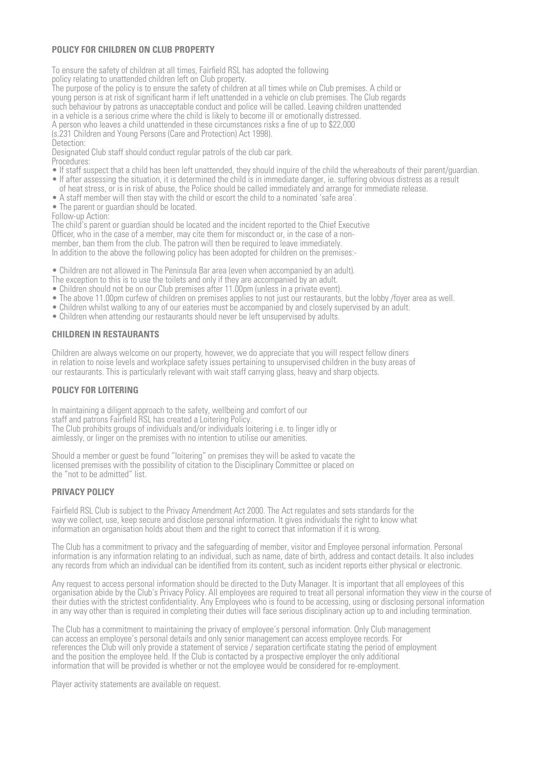### **POLICY FOR CHILDREN ON CLUB PROPERTY**

To ensure the safety of children at all times, Fairfield RSL has adopted the following policy relating to unattended children left on Club property.

The purpose of the policy is to ensure the safety of children at all times while on Club premises. A child or young person is at risk of significant harm if left unattended in a vehicle on club premises. The Club regards such behaviour by patrons as unacceptable conduct and police will be called. Leaving children unattended in a vehicle is a serious crime where the child is likely to become ill or emotionally distressed.

A person who leaves a child unattended in these circumstances risks a fine of up to \$22,000

(s.231 Children and Young Persons (Care and Protection) Act 1998).

#### Detection:

Designated Club staff should conduct regular patrols of the club car park.

#### Procedures:

- If staff suspect that a child has been left unattended, they should inquire of the child the whereabouts of their parent/guardian.
- If after assessing the situation, it is determined the child is in immediate danger, ie. suffering obvious distress as a result
- of heat stress, or is in risk of abuse, the Police should be called immediately and arrange for immediate release.
- A staff member will then stay with the child or escort the child to a nominated 'safe area'.
- The parent or guardian should be located.

Follow-up Action:

The child's parent or guardian should be located and the incident reported to the Chief Executive Officer, who in the case of a member, may cite them for misconduct or, in the case of a nonmember, ban them from the club. The patron will then be required to leave immediately. In addition to the above the following policy has been adopted for children on the premises:-

• Children are not allowed in The Peninsula Bar area (even when accompanied by an adult).

- The exception to this is to use the toilets and only if they are accompanied by an adult.
- Children should not be on our Club premises after 11.00pm (unless in a private event).
- The above 11.00pm curfew of children on premises applies to not just our restaurants, but the lobby /foyer area as well.
- Children whilst walking to any of our eateries must be accompanied by and closely supervised by an adult.
- Children when attending our restaurants should never be left unsupervised by adults.

# **CHILDREN IN RESTAURANTS**

Children are always welcome on our property, however, we do appreciate that you will respect fellow diners in relation to noise levels and workplace safety issues pertaining to unsupervised children in the busy areas of our restaurants. This is particularly relevant with wait staff carrying glass, heavy and sharp objects.

### **POLICY FOR LOITERING**

In maintaining a diligent approach to the safety, wellbeing and comfort of our staff and patrons Fairfield RSL has created a Loitering Policy. The Club prohibits groups of individuals and/or individuals loitering i.e. to linger idly or aimlessly, or linger on the premises with no intention to utilise our amenities.

Should a member or guest be found "loitering" on premises they will be asked to vacate the licensed premises with the possibility of citation to the Disciplinary Committee or placed on the "not to be admitted" list.

# **PRIVACY POLICY**

Fairfield RSL Club is subject to the Privacy Amendment Act 2000. The Act regulates and sets standards for the way we collect, use, keep secure and disclose personal information. It gives individuals the right to know what information an organisation holds about them and the right to correct that information if it is wrong.

The Club has a commitment to privacy and the safeguarding of member, visitor and Employee personal information. Personal information is any information relating to an individual, such as name, date of birth, address and contact details. It also includes any records from which an individual can be identified from its content, such as incident reports either physical or electronic.

Any request to access personal information should be directed to the Duty Manager. It is important that all employees of this organisation abide by the Club's Privacy Policy. All employees are required to treat all personal information they view in the course of their duties with the strictest confidentiality. Any Employees who is found to be accessing, using or disclosing personal information in any way other than is required in completing their duties will face serious disciplinary action up to and including termination.

The Club has a commitment to maintaining the privacy of employee's personal information. Only Club management can access an employee's personal details and only senior management can access employee records. For references the Club will only provide a statement of service / separation certificate stating the period of employment and the position the employee held. If the Club is contacted by a prospective employer the only additional information that will be provided is whether or not the employee would be considered for re-employment.

Player activity statements are available on request.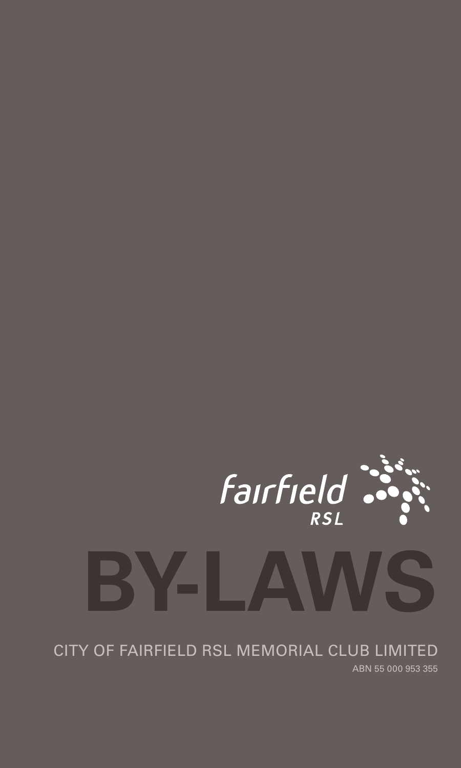

**BY-LAWS**

CITY OF FAIRFIELD RSL MEMORIAL CLUB LIMITED ABN 55 000 953 355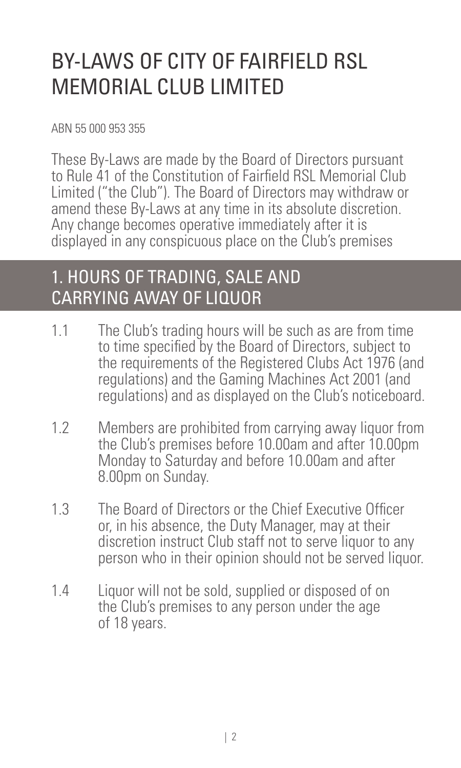# BY-LAWS OF CITY OF FAIRFIELD RSL MEMORIAL CLUB LIMITED

#### ABN 55 000 953 355

These By-Laws are made by the Board of Directors pursuant to Rule 41 of the Constitution of Fairfield RSL Memorial Club Limited ("the Club"). The Board of Directors may withdraw or amend these By-Laws at any time in its absolute discretion. Any change becomes operative immediately after it is displayed in any conspicuous place on the Club's premises

# 1. HOURS OF TRADING, SALE AND CARRYING AWAY OF LIQUOR

- 1.1 The Club's trading hours will be such as are from time to time specified by the Board of Directors, subject to the requirements of the Registered Clubs Act 1976 (and regulations) and the Gaming Machines Act 2001 (and regulations) and as displayed on the Club's noticeboard.
- 1.2 Members are prohibited from carrying away liquor from the Club's premises before 10.00am and after 10.00pm Monday to Saturday and before 10.00am and after 8.00pm on Sunday.
- 1.3 The Board of Directors or the Chief Executive Officer or, in his absence, the Duty Manager, may at their discretion instruct Club staff not to serve liquor to any person who in their opinion should not be served liquor.
- 1.4 Liquor will not be sold, supplied or disposed of on the Club's premises to any person under the age of 18 years.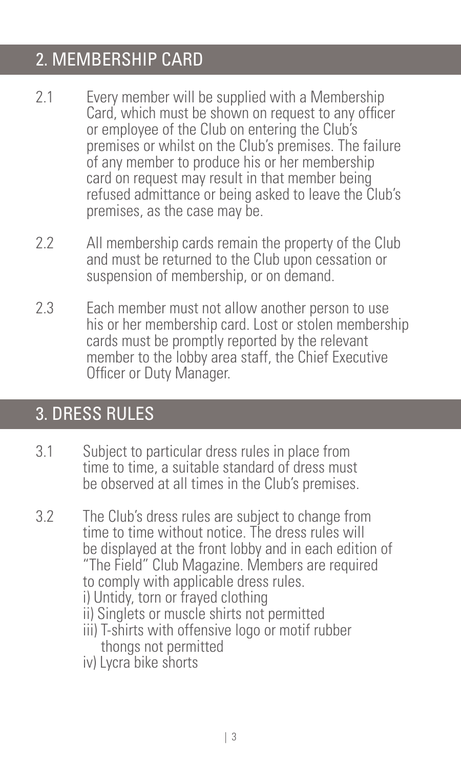# 2. MEMBERSHIP CARD

- 2.1 Every member will be supplied with a Membership Card, which must be shown on request to any officer or employee of the Club on entering the Club's premises or whilst on the Club's premises. The failure of any member to produce his or her membership card on request may result in that member being refused admittance or being asked to leave the Club's premises, as the case may be.
- 2.2 All membership cards remain the property of the Club and must be returned to the Club upon cessation or suspension of membership, or on demand.
- 2.3 Each member must not allow another person to use his or her membership card. Lost or stolen membership cards must be promptly reported by the relevant member to the lobby area staff, the Chief Executive Officer or Duty Manager.

# 3. DRESS RULES

- 3.1 Subject to particular dress rules in place from time to time, a suitable standard of dress must be observed at all times in the Club's premises.
- 3.2 The Club's dress rules are subject to change from time to time without notice. The dress rules will be displayed at the front lobby and in each edition of "The Field" Club Magazine. Members are required to comply with applicable dress rules. i) Untidy, torn or frayed clothing
	- ii) Singlets or muscle shirts not permitted
	- iii) T-shirts with offensive logo or motif rubber thongs not permitted
	- iv) Lycra bike shorts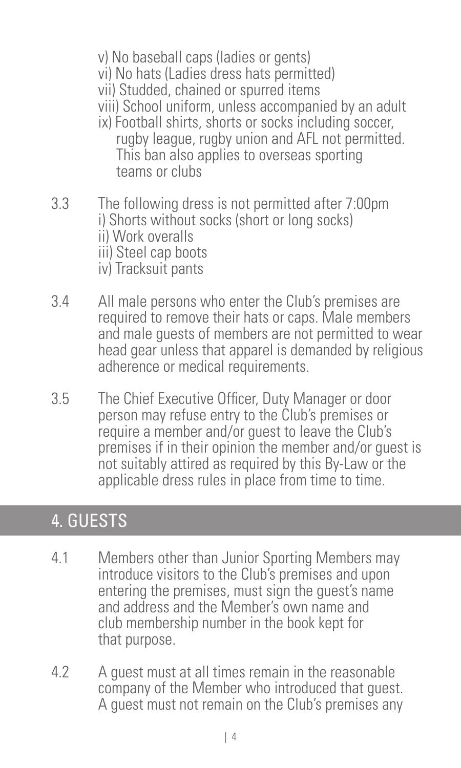- v) No baseball caps (ladies or gents)
- vi) No hats (Ladies dress hats permitted)
- vii) Studded, chained or spurred items
- viii) School uniform, unless accompanied by an adult
- ix) Football shirts, shorts or socks including soccer, rugby league, rugby union and AFL not permitted. This ban also applies to overseas sporting teams or clubs
- 3.3 The following dress is not permitted after 7:00pm i) Shorts without socks (short or long socks)
	- ii) Work overalls
	- iii) Steel cap boots
	- iv) Tracksuit pants
- 3.4 All male persons who enter the Club's premises are required to remove their hats or caps. Male members and male guests of members are not permitted to wear head gear unless that apparel is demanded by religious adherence or medical requirements.
- 3.5 The Chief Executive Officer, Duty Manager or door person may refuse entry to the Club's premises or require a member and/or guest to leave the Club's premises if in their opinion the member and/or guest is not suitably attired as required by this By-Law or the applicable dress rules in place from time to time.

# 4. GUESTS

- 4.1 Members other than Junior Sporting Members may introduce visitors to the Club's premises and upon entering the premises, must sign the quest's name and address and the Member's own name and club membership number in the book kept for that purpose.
- 4.2 A guest must at all times remain in the reasonable company of the Member who introduced that guest. A guest must not remain on the Club's premises any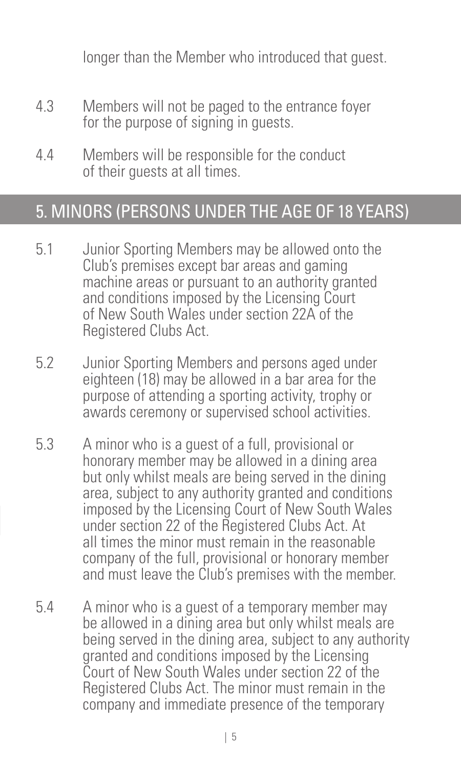longer than the Member who introduced that guest.

- 4.3 Members will not be paged to the entrance foyer for the purpose of signing in quests.
- 4.4 Members will be responsible for the conduct of their guests at all times.

### 5. MINORS (PERSONS UNDER THE AGE OF 18 YEARS)

- 5.1 Junior Sporting Members may be allowed onto the Club's premises except bar areas and gaming machine areas or pursuant to an authority granted and conditions imposed by the Licensing Court of New South Wales under section 22A of the Registered Clubs Act.
- 5.2 Junior Sporting Members and persons aged under eighteen (18) may be allowed in a bar area for the purpose of attending a sporting activity, trophy or awards ceremony or supervised school activities.
- 5.3 A minor who is a guest of a full, provisional or honorary member may be allowed in a dining area but only whilst meals are being served in the dining area, subject to any authority granted and conditions imposed by the Licensing Court of New South Wales under section 22 of the Registered Clubs Act. At all times the minor must remain in the reasonable company of the full, provisional or honorary member and must leave the Club's premises with the member.
- 5.4 A minor who is a guest of a temporary member may be allowed in a dining area but only whilst meals are being served in the dining area, subject to any authority granted and conditions imposed by the Licensing Court of New South Wales under section 22 of the Registered Clubs Act. The minor must remain in the company and immediate presence of the temporary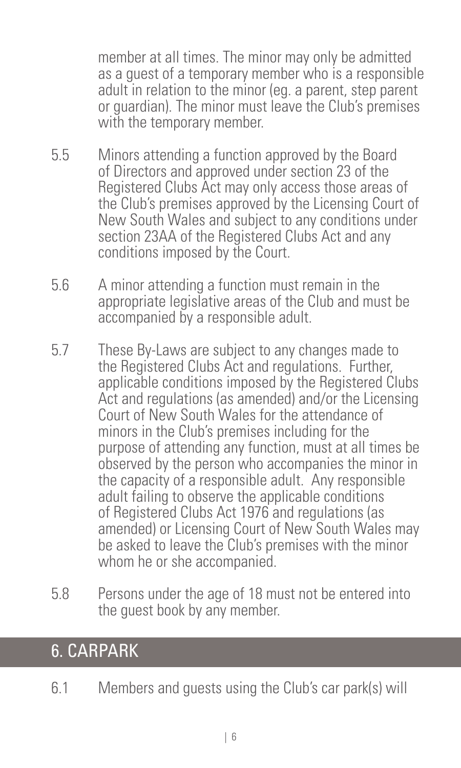member at all times. The minor may only be admitted as a guest of a temporary member who is a responsible adult in relation to the minor (eg. a parent, step parent or guardian). The minor must leave the Club's premises with the temporary member.

- 5.5 Minors attending a function approved by the Board of Directors and approved under section 23 of the Registered Clubs Act may only access those areas of the Club's premises approved by the Licensing Court of New South Wales and subject to any conditions under section 23AA of the Registered Clubs Act and any conditions imposed by the Court.
- 5.6 A minor attending a function must remain in the appropriate legislative areas of the Club and must be accompanied by a responsible adult.
- 5.7 These By-Laws are subject to any changes made to the Registered Clubs Act and regulations. Further, applicable conditions imposed by the Registered Clubs Act and regulations (as amended) and/or the Licensing Court of New South Wales for the attendance of minors in the Club's premises including for the purpose of attending any function, must at all times be observed by the person who accompanies the minor in the capacity of a responsible adult. Any responsible adult failing to observe the applicable conditions of Registered Clubs Act 1976 and regulations (as amended) or Licensing Court of New South Wales may be asked to leave the Club's premises with the minor whom he or she accompanied.
- 5.8 Persons under the age of 18 must not be entered into the guest book by any member.

# 6. CARPARK

6.1 Members and guests using the Club's car park(s) will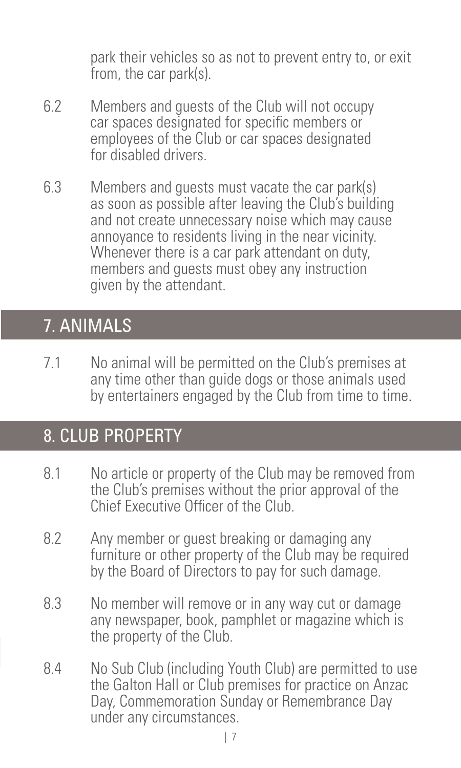park their vehicles so as not to prevent entry to, or exit from, the car park(s).

- 6.2 Members and guests of the Club will not occupy car spaces designated for specific members or employees of the Club or car spaces designated for disabled drivers.
- 6.3 Members and guests must vacate the car park(s) as soon as possible after leaving the Club's building and not create unnecessary noise which may cause annoyance to residents living in the near vicinity. Whenever there is a car park attendant on duty, members and guests must obey any instruction given by the attendant.

### 7. ANIMALS

7.1 No animal will be permitted on the Club's premises at any time other than guide dogs or those animals used by entertainers engaged by the Club from time to time.

#### 8. CLUB PROPERTY

- 8.1 No article or property of the Club may be removed from the Club's premises without the prior approval of the Chief Executive Officer of the Club.
- 8.2 Any member or guest breaking or damaging any furniture or other property of the Club may be required by the Board of Directors to pay for such damage.
- 8.3 No member will remove or in any way cut or damage any newspaper, book, pamphlet or magazine which is the property of the Club.
- 8.4 No Sub Club (including Youth Club) are permitted to use the Galton Hall or Club premises for practice on Anzac Day, Commemoration Sunday or Remembrance Day under any circumstances.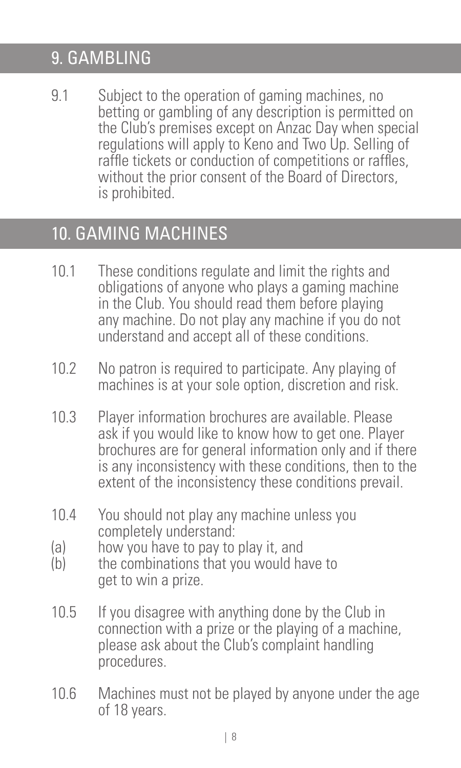# 9. GAMBLING

9.1 Subject to the operation of gaming machines, no betting or gambling of any description is permitted on the Club's premises except on Anzac Day when special regulations will apply to Keno and Two Up. Selling of raffle tickets or conduction of competitions or raffles, without the prior consent of the Board of Directors. is prohibited.

# 10. GAMING MACHINES

- 10.1 These conditions regulate and limit the rights and obligations of anyone who plays a gaming machine in the Club. You should read them before playing any machine. Do not play any machine if you do not understand and accept all of these conditions.
- 10.2 No patron is required to participate. Any playing of machines is at your sole option, discretion and risk.
- 10.3 Player information brochures are available. Please ask if you would like to know how to get one. Player brochures are for general information only and if there is any inconsistency with these conditions, then to the extent of the inconsistency these conditions prevail.
- 10.4 You should not play any machine unless you completely understand:
- (a) how you have to pay to play it, and<br>(b) the combinations that you would ha
- the combinations that you would have to get to win a prize.
- 10.5 If you disagree with anything done by the Club in connection with a prize or the playing of a machine, please ask about the Club's complaint handling **procedures**
- 10.6 Machines must not be played by anyone under the age of 18 years.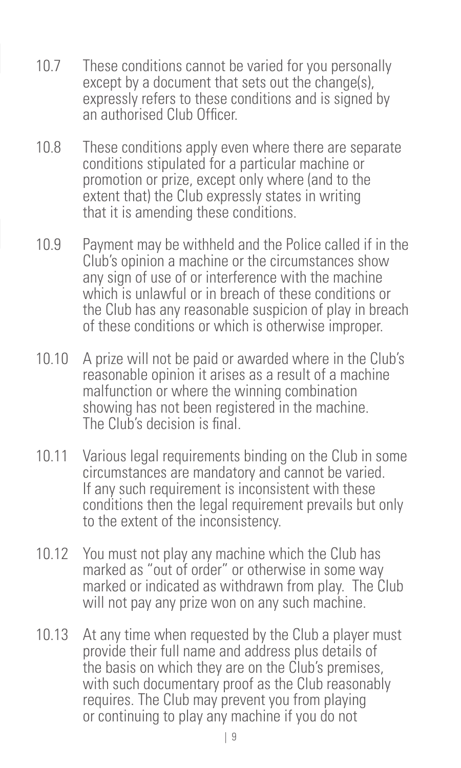- 10.7 These conditions cannot be varied for you personally except by a document that sets out the change(s), expressly refers to these conditions and is signed by an authorised Club Officer.
- 10.8 These conditions apply even where there are separate conditions stipulated for a particular machine or promotion or prize, except only where (and to the extent that) the Club expressly states in writing that it is amending these conditions.
- 10.9 Payment may be withheld and the Police called if in the Club's opinion a machine or the circumstances show any sign of use of or interference with the machine which is unlawful or in breach of these conditions or the Club has any reasonable suspicion of play in breach of these conditions or which is otherwise improper.
- 10.10 A prize will not be paid or awarded where in the Club's reasonable opinion it arises as a result of a machine malfunction or where the winning combination showing has not been registered in the machine. The Club's decision is final.
- 10.11 Various legal requirements binding on the Club in some circumstances are mandatory and cannot be varied. If any such requirement is inconsistent with these conditions then the legal requirement prevails but only to the extent of the inconsistency.
- 10.12 You must not play any machine which the Club has marked as "out of order" or otherwise in some way marked or indicated as withdrawn from play. The Club will not pay any prize won on any such machine.
- 10.13 At any time when requested by the Club a player must provide their full name and address plus details of the basis on which they are on the Club's premises, with such documentary proof as the Club reasonably requires. The Club may prevent you from playing or continuing to play any machine if you do not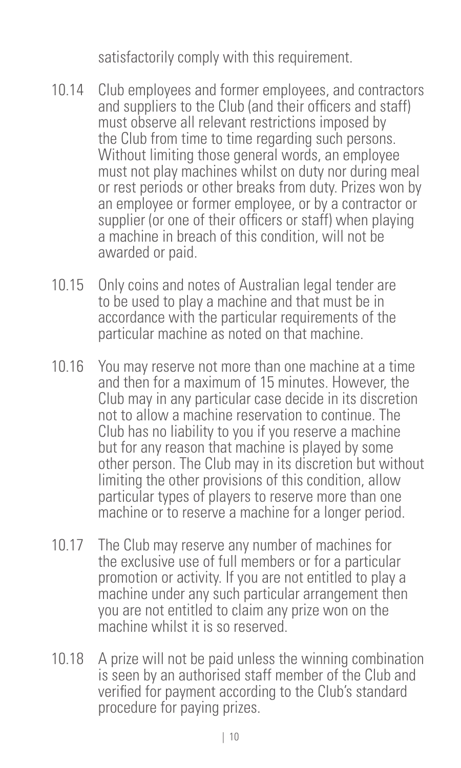satisfactorily comply with this requirement.

- 10.14 Club employees and former employees, and contractors and suppliers to the Club (and their officers and staff) must observe all relevant restrictions imposed by the Club from time to time regarding such persons. Without limiting those general words, an employee must not play machines whilst on duty nor during meal or rest periods or other breaks from duty. Prizes won by an employee or former employee, or by a contractor or supplier (or one of their officers or staff) when playing a machine in breach of this condition, will not be awarded or paid.
- 10.15 Only coins and notes of Australian legal tender are to be used to play a machine and that must be in accordance with the particular requirements of the particular machine as noted on that machine.
- 10.16 You may reserve not more than one machine at a time and then for a maximum of 15 minutes. However, the Club may in any particular case decide in its discretion not to allow a machine reservation to continue. The Club has no liability to you if you reserve a machine but for any reason that machine is played by some other person. The Club may in its discretion but without limiting the other provisions of this condition, allow particular types of players to reserve more than one machine or to reserve a machine for a longer period.
- 10.17 The Club may reserve any number of machines for the exclusive use of full members or for a particular promotion or activity. If you are not entitled to play a machine under any such particular arrangement then you are not entitled to claim any prize won on the machine whilst it is so reserved.
- 10.18 A prize will not be paid unless the winning combination is seen by an authorised staff member of the Club and verified for payment according to the Club's standard procedure for paying prizes.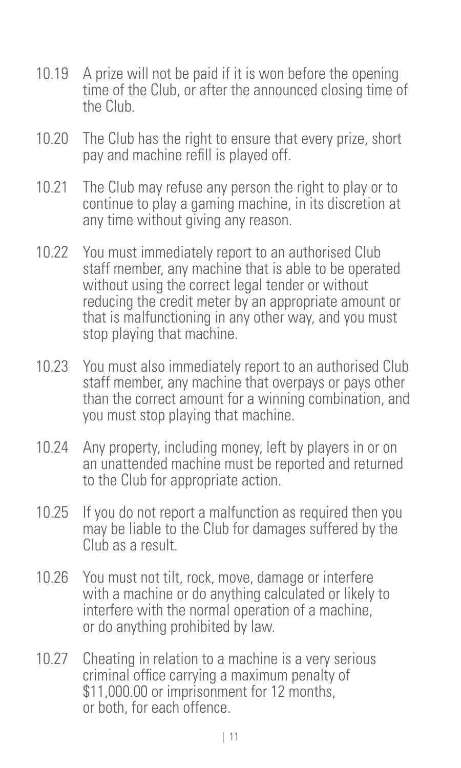- 10.19 A prize will not be paid if it is won before the opening time of the Club, or after the announced closing time of the Club.
- 10.20 The Club has the right to ensure that every prize, short pay and machine refill is played off.
- 10.21 The Club may refuse any person the right to play or to continue to play a gaming machine, in its discretion at any time without giving any reason.
- 10.22 You must immediately report to an authorised Club staff member, any machine that is able to be operated without using the correct legal tender or without reducing the credit meter by an appropriate amount or that is malfunctioning in any other way, and you must stop playing that machine.
- 10.23 You must also immediately report to an authorised Club staff member, any machine that overpays or pays other than the correct amount for a winning combination, and you must stop playing that machine.
- 10.24 Any property, including money, left by players in or on an unattended machine must be reported and returned to the Club for appropriate action.
- 10.25 If you do not report a malfunction as required then you may be liable to the Club for damages suffered by the Club as a result.
- 10.26 You must not tilt, rock, move, damage or interfere with a machine or do anything calculated or likely to interfere with the normal operation of a machine, or do anything prohibited by law.
- 10.27 Cheating in relation to a machine is a very serious criminal office carrying a maximum penalty of \$11,000.00 or imprisonment for 12 months, or both, for each offence.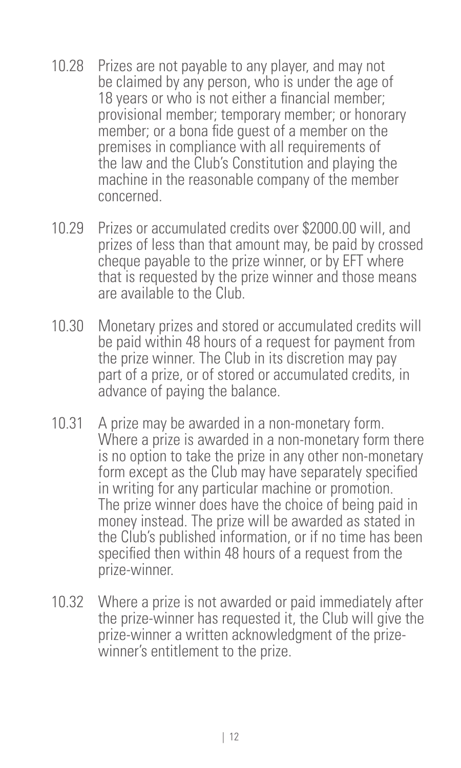- 10.28 Prizes are not payable to any player, and may not be claimed by any person, who is under the age of 18 years or who is not either a financial member; provisional member; temporary member; or honorary member; or a bona fide guest of a member on the premises in compliance with all requirements of the law and the Club's Constitution and playing the machine in the reasonable company of the member concerned.
- 10.29 Prizes or accumulated credits over \$2000.00 will, and prizes of less than that amount may, be paid by crossed cheque payable to the prize winner, or by EFT where that is requested by the prize winner and those means are available to the Club.
- 10.30 Monetary prizes and stored or accumulated credits will be paid within 48 hours of a request for payment from the prize winner. The Club in its discretion may pay part of a prize, or of stored or accumulated credits, in advance of paying the balance.
- 10.31 A prize may be awarded in a non-monetary form. Where a prize is awarded in a non-monetary form there is no option to take the prize in any other non-monetary form except as the Club may have separately specified in writing for any particular machine or promotion. The prize winner does have the choice of being paid in money instead. The prize will be awarded as stated in the Club's published information, or if no time has been specified then within 48 hours of a request from the prize-winner.
- 10.32 Where a prize is not awarded or paid immediately after the prize-winner has requested it, the Club will give the prize-winner a written acknowledgment of the prizewinner's entitlement to the prize.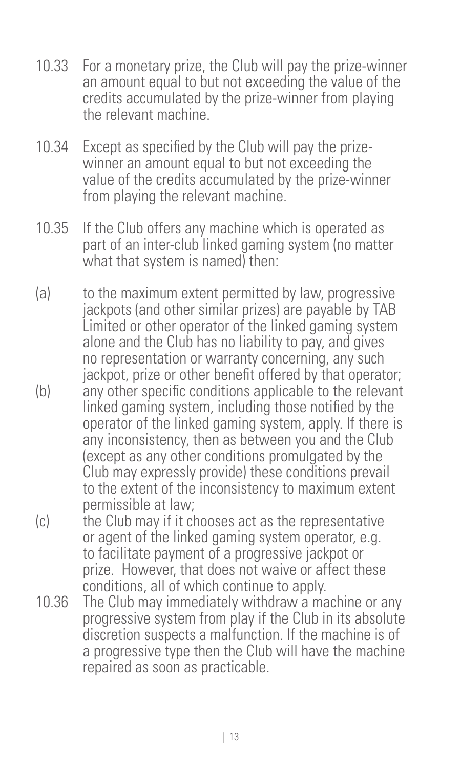- 10.33 For a monetary prize, the Club will pay the prize-winner an amount equal to but not exceeding the value of the credits accumulated by the prize-winner from playing the relevant machine.
- 10.34 Except as specified by the Club will pay the prizewinner an amount equal to but not exceeding the value of the credits accumulated by the prize-winner from playing the relevant machine.
- 10.35 If the Club offers any machine which is operated as part of an inter-club linked gaming system (no matter what that system is named) then:
- (a) to the maximum extent permitted by law, progressive jackpots (and other similar prizes) are payable by TAB Limited or other operator of the linked gaming system alone and the Club has no liability to pay, and gives no representation or warranty concerning, any such jackpot, prize or other benefit offered by that operator;
- (b) any other specific conditions applicable to the relevant linked gaming system, including those notified by the operator of the linked gaming system, apply. If there is any inconsistency, then as between you and the Club (except as any other conditions promulgated by the Club may expressly provide) these conditions prevail to the extent of the inconsistency to maximum extent permissible at law;
- (c) the Club may if it chooses act as the representative or agent of the linked gaming system operator, e.g. to facilitate payment of a progressive jackpot or prize. However, that does not waive or affect these conditions, all of which continue to apply.
- 10.36 The Club may immediately withdraw a machine or any progressive system from play if the Club in its absolute discretion suspects a malfunction. If the machine is of a progressive type then the Club will have the machine repaired as soon as practicable.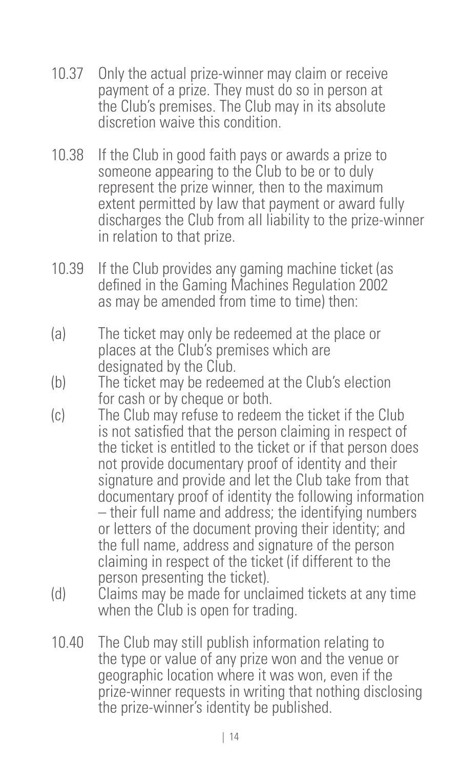- 10.37 Only the actual prize-winner may claim or receive payment of a prize. They must do so in person at the Club's premises. The Club may in its absolute discretion waive this condition.
- 10.38 If the Club in good faith pays or awards a prize to someone appearing to the Club to be or to duly represent the prize winner, then to the maximum extent permitted by law that payment or award fully discharges the Club from all liability to the prize-winner in relation to that prize.
- 10.39 If the Club provides any gaming machine ticket (as defined in the Gaming Machines Regulation 2002 as may be amended from time to time) then:
- (a) The ticket may only be redeemed at the place or places at the Club's premises which are designated by the Club.
- (b) The ticket may be redeemed at the Club's election for cash or by cheque or both.
- (c) The Club may refuse to redeem the ticket if the Club is not satisfied that the person claiming in respect of the ticket is entitled to the ticket or if that person does not provide documentary proof of identity and their signature and provide and let the Club take from that documentary proof of identity the following information – their full name and address; the identifying numbers or letters of the document proving their identity; and the full name, address and signature of the person claiming in respect of the ticket (if different to the person presenting the ticket).
- (d) Claims may be made for unclaimed tickets at any time when the Club is open for trading.
- 10.40 The Club may still publish information relating to the type or value of any prize won and the venue or geographic location where it was won, even if the prize-winner requests in writing that nothing disclosing the prize-winner's identity be published.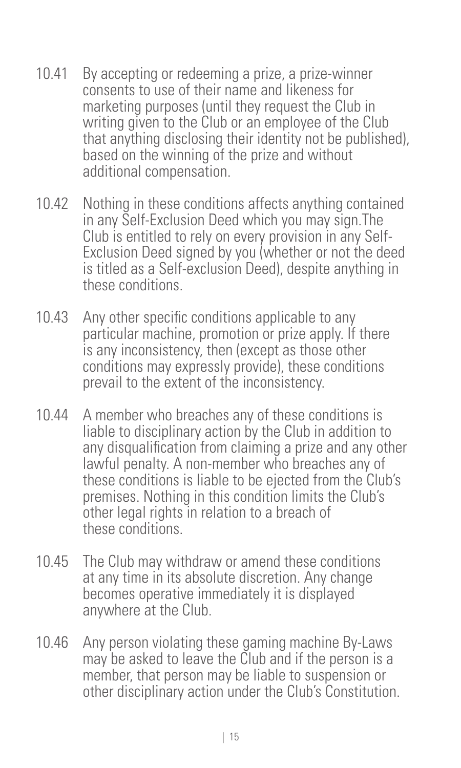- 10.41 By accepting or redeeming a prize, a prize-winner consents to use of their name and likeness for marketing purposes (until they request the Club in writing given to the Club or an employee of the Club that anything disclosing their identity not be published), based on the winning of the prize and without additional compensation.
- 10.42 Nothing in these conditions affects anything contained in any Self-Exclusion Deed which you may sign.The Club is entitled to rely on every provision in any Self-Exclusion Deed signed by you (whether or not the deed is titled as a Self-exclusion Deed), despite anything in these conditions.
- 10.43 Any other specific conditions applicable to any particular machine, promotion or prize apply. If there is any inconsistency, then (except as those other conditions may expressly provide), these conditions prevail to the extent of the inconsistency.
- 10.44 A member who breaches any of these conditions is liable to disciplinary action by the Club in addition to any disqualification from claiming a prize and any other lawful penalty. A non-member who breaches any of these conditions is liable to be ejected from the Club's premises. Nothing in this condition limits the Club's other legal rights in relation to a breach of these conditions.
- 10.45 The Club may withdraw or amend these conditions at any time in its absolute discretion. Any change becomes operative immediately it is displayed anywhere at the Club.
- 10.46 Any person violating these gaming machine By-Laws may be asked to leave the Club and if the person is a member, that person may be liable to suspension or other disciplinary action under the Club's Constitution.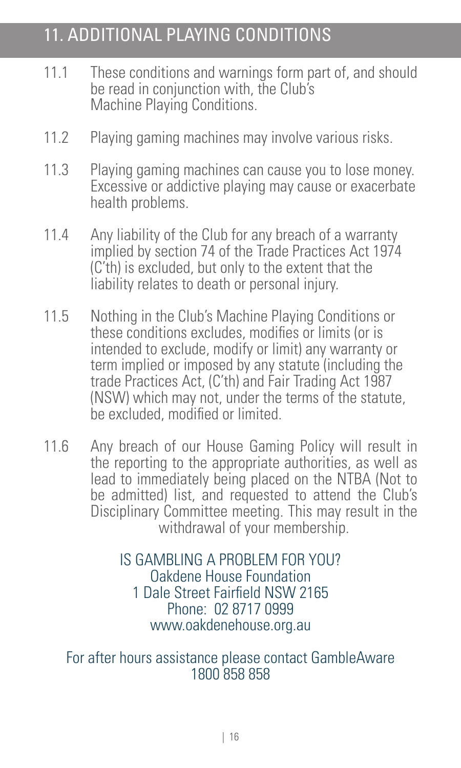# 11. ADDITIONAL PLAYING CONDITIONS

- 11.1 These conditions and warnings form part of, and should be read in conjunction with, the Club's Machine Playing Conditions.
- 11.2 Playing gaming machines may involve various risks.
- 11.3 Playing gaming machines can cause you to lose money. Excessive or addictive playing may cause or exacerbate health problems.
- 11.4 Any liability of the Club for any breach of a warranty implied by section 74 of the Trade Practices Act 1974 (C'th) is excluded, but only to the extent that the liability relates to death or personal injury.
- 11.5 Nothing in the Club's Machine Playing Conditions or these conditions excludes, modifies or limits (or is intended to exclude, modify or limit) any warranty or term implied or imposed by any statute (including the trade Practices Act, (C'th) and Fair Trading Act 1987 (NSW) which may not, under the terms of the statute, be excluded, modified or limited.
- 11.6 Any breach of our House Gaming Policy will result in the reporting to the appropriate authorities, as well as lead to immediately being placed on the NTBA (Not to be admitted) list, and requested to attend the Club's Disciplinary Committee meeting. This may result in the withdrawal of your membership.

IS GAMBLING A PROBLEM FOR YOU? Oakdene House Foundation 1 Dale Street Fairfield NSW 2165 Phone: 02 8717 0999 www.oakdenehouse.org.au

#### For after hours assistance please contact GambleAware 1800 858 858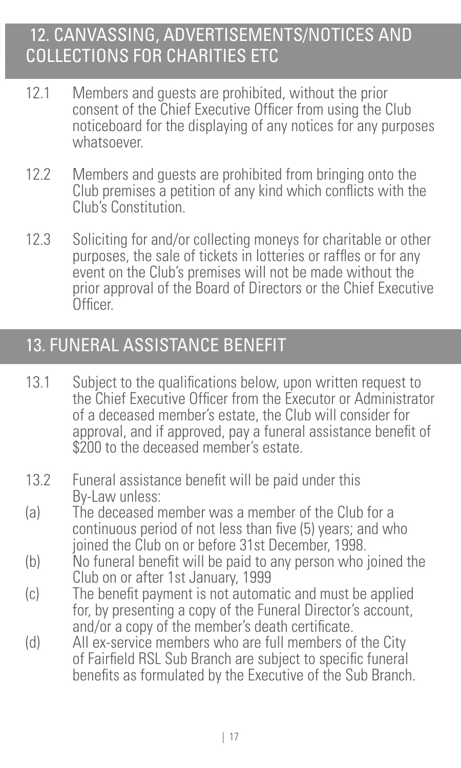# 12. CANVASSING, ADVERTISEMENTS/NOTICES AND COLLECTIONS FOR CHARITIES ETC

- 12.1 Members and guests are prohibited, without the prior consent of the Chief Executive Officer from using the Club noticeboard for the displaying of any notices for any purposes whatsoever.
- 12.2 Members and guests are prohibited from bringing onto the Club premises a petition of any kind which conflicts with the Club's Constitution.
- 12.3 Soliciting for and/or collecting moneys for charitable or other purposes, the sale of tickets in lotteries or raffles or for any event on the Club's premises will not be made without the prior approval of the Board of Directors or the Chief Executive Officer<sup>1</sup>

# 13. FUNERAL ASSISTANCE BENEFIT

- 13.1 Subject to the qualifications below, upon written request to the Chief Executive Officer from the Executor or Administrator of a deceased member's estate, the Club will consider for approval, and if approved, pay a funeral assistance benefit of \$200 to the deceased member's estate.
- 13.2 Funeral assistance benefit will be paid under this By-Law unless:
- (a) The deceased member was a member of the Club for a continuous period of not less than five (5) years; and who joined the Club on or before 31st December, 1998.
- (b) No funeral benefit will be paid to any person who joined the Club on or after 1st January, 1999
- (c) The benefit payment is not automatic and must be applied for, by presenting a copy of the Funeral Director's account, and/or a copy of the member's death certificate.
- (d) All ex-service members who are full members of the City of Fairfield RSL Sub Branch are subject to specific funeral benefits as formulated by the Executive of the Sub Branch.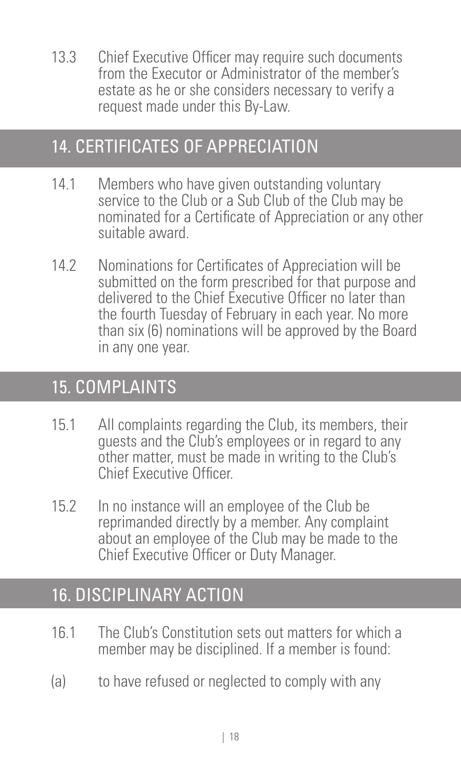13.3 Chief Executive Officer may require such documents from the Executor or Administrator of the member's estate as he or she considers necessary to verify a request made under this By-Law.

### 14. CERTIFICATES OF APPRECIATION

- 14.1 Members who have given outstanding voluntary service to the Club or a Sub Club of the Club may be nominated for a Certificate of Appreciation or any other suitable award.
- 14.2 Nominations for Certificates of Appreciation will be submitted on the form prescribed for that purpose and delivered to the Chief Executive Officer no later than the fourth Tuesday of February in each year. No more than six (6) nominations will be approved by the Board in any one year.

# 15. COMPLAINTS

- 15.1 All complaints regarding the Club, its members, their guests and the Club's employees or in regard to any other matter, must be made in writing to the Club's Chief Executive Officer.
- 15.2 In no instance will an employee of the Club be reprimanded directly by a member. Any complaint about an employee of the Club may be made to the Chief Executive Officer or Duty Manager.

### 16. DISCIPLINARY ACTION

- 16.1 The Club's Constitution sets out matters for which a member may be disciplined. If a member is found:
- (a) to have refused or neglected to comply with any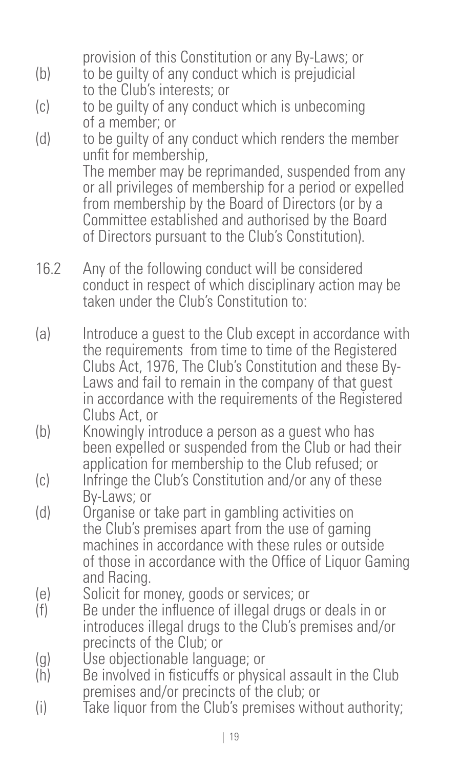provision of this Constitution or any By-Laws; or

- $(b)$  to be quilty of any conduct which is prejudicial to the Club's interests; or
- (c) to be guilty of any conduct which is unbecoming of a member; or
- (d) to be guilty of any conduct which renders the member unfit for membership, The member may be reprimanded, suspended from any or all privileges of membership for a period or expelled from membership by the Board of Directors (or by a Committee established and authorised by the Board of Directors pursuant to the Club's Constitution).
- 16.2 Any of the following conduct will be considered conduct in respect of which disciplinary action may be taken under the Club's Constitution to:
- (a) Introduce a guest to the Club except in accordance with the requirements from time to time of the Registered Clubs Act, 1976, The Club's Constitution and these By-Laws and fail to remain in the company of that guest in accordance with the requirements of the Registered Clubs Act, or
- (b) Knowingly introduce a person as a guest who has been expelled or suspended from the Club or had their application for membership to the Club refused; or
- (c) Infringe the Club's Constitution and/or any of these By-Laws; or
- (d) Organise or take part in gambling activities on the Club's premises apart from the use of gaming machines in accordance with these rules or outside of those in accordance with the Office of Liquor Gaming and Racing.
- (e) Solicit for money, goods or services; or<br>(f) Be under the influence of illegal drugs
- Be under the influence of illegal drugs or deals in or introduces illegal drugs to the Club's premises and/or precincts of the Club; or
- (g) Use objectionable language; or<br>(h) Be involved in fisticuffs or phys
- Be involved in fisticuffs or physical assault in the Club premises and/or precincts of the club; or
- (i) Take liquor from the Club's premises without authority;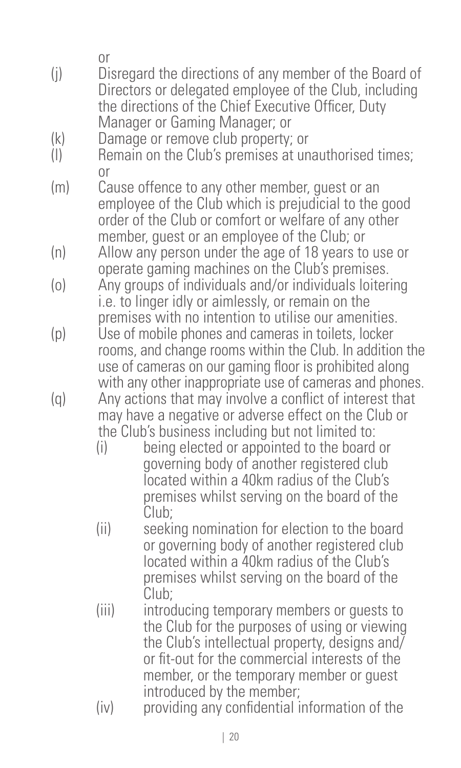or

- (j) Disregard the directions of any member of the Board of Directors or delegated employee of the Club, including the directions of the Chief Executive Officer, Duty Manager or Gaming Manager; or
- (k) Damage or remove club property; or<br>(I) Bemain on the Club's premises at ur
- Remain on the Club's premises at unauthorised times; or
- (m) Cause offence to any other member, guest or an employee of the Club which is prejudicial to the good order of the Club or comfort or welfare of any other member, guest or an employee of the Club; or
- (n) Allow any person under the age of 18 years to use or operate gaming machines on the Club's premises.
- (o) Any groups of individuals and/or individuals loitering i.e. to linger idly or aimlessly, or remain on the premises with no intention to utilise our amenities.
- (p) Use of mobile phones and cameras in toilets, locker rooms, and change rooms within the Club. In addition the use of cameras on our gaming floor is prohibited along with any other inappropriate use of cameras and phones.
- (q) Any actions that may involve a conflict of interest that may have a negative or adverse effect on the Club or the Club's business including but not limited to:
	- (i) being elected or appointed to the board or governing body of another registered club located within a 40km radius of the Club's premises whilst serving on the board of the Club;
	- (ii) seeking nomination for election to the board or governing body of another registered club located within a 40km radius of the Club's premises whilst serving on the board of the Club;
	- (iii) introducing temporary members or quests to the Club for the purposes of using or viewing the Club's intellectual property, designs and/ or fit-out for the commercial interests of the member, or the temporary member or guest introduced by the member;
	- (iv) providing any confidential information of the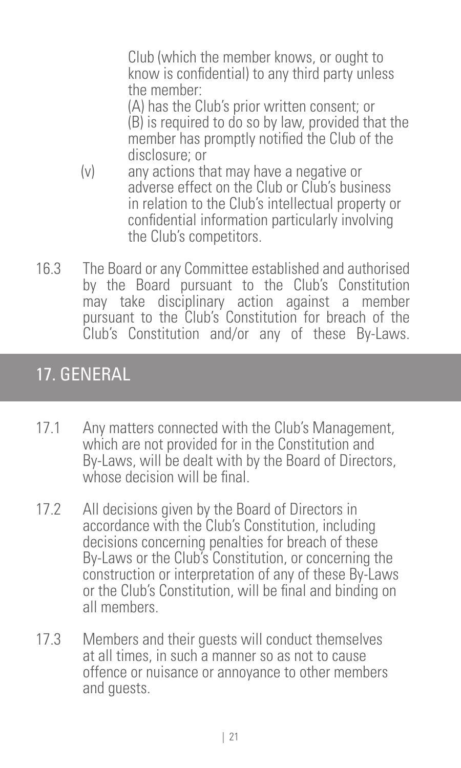Club (which the member knows, or ought to know is confidential) to any third party unless the member:

(A) has the Club's prior written consent; or (B) is required to do so by law, provided that the member has promptly notified the Club of the disclosure; or

- (v) any actions that may have a negative or adverse effect on the Club or Club's business in relation to the Club's intellectual property or confidential information particularly involving the Club's competitors.
- 16.3 The Board or any Committee established and authorised by the Board pursuant to the Club's Constitution may take disciplinary action against a member pursuant to the Club's Constitution for breach of the Club's Constitution and/or any of these By-Laws.

# 17. GENERAL

- 17.1 Any matters connected with the Club's Management. which are not provided for in the Constitution and By-Laws, will be dealt with by the Board of Directors, whose decision will be final.
- 17.2 All decisions given by the Board of Directors in accordance with the Club's Constitution, including decisions concerning penalties for breach of these By-Laws or the Club's Constitution, or concerning the construction or interpretation of any of these By-Laws or the Club's Constitution, will be final and binding on all members.
- 17.3 Members and their guests will conduct themselves at all times, in such a manner so as not to cause offence or nuisance or annoyance to other members and guests.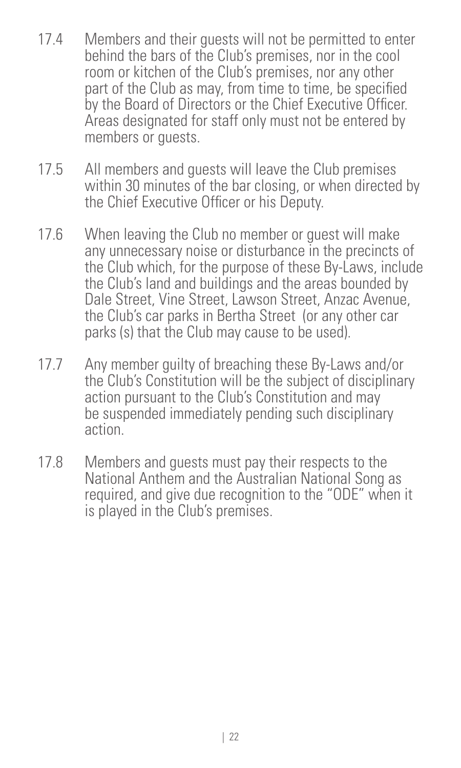- 17.4 Members and their guests will not be permitted to enter behind the bars of the Club's premises, nor in the cool room or kitchen of the Club's premises, nor any other part of the Club as may, from time to time, be specified by the Board of Directors or the Chief Executive Officer. Areas designated for staff only must not be entered by members or quests.
- 17.5 All members and guests will leave the Club premises within 30 minutes of the bar closing, or when directed by the Chief Executive Officer or his Deputy.
- 17.6 When leaving the Club no member or guest will make any unnecessary noise or disturbance in the precincts of the Club which, for the purpose of these By-Laws, include the Club's land and buildings and the areas bounded by Dale Street, Vine Street, Lawson Street, Anzac Avenue, the Club's car parks in Bertha Street (or any other car parks (s) that the Club may cause to be used).
- 17.7 Any member guilty of breaching these By-Laws and/or the Club's Constitution will be the subject of disciplinary action pursuant to the Club's Constitution and may be suspended immediately pending such disciplinary action.<br>17.8 Membe
- Members and quests must pay their respects to the National Anthem and the Australian National Song as required, and give due recognition to the "ODE" when it is played in the Club's premises.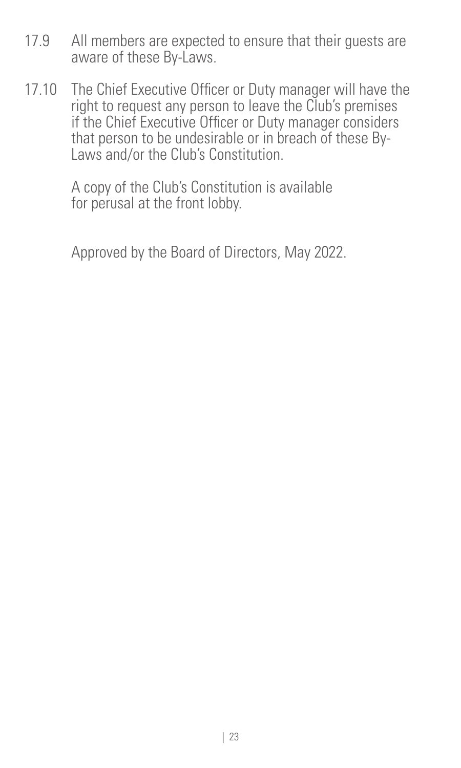- 17.9 All members are expected to ensure that their guests are aware of these By-Laws.
- 17.10 The Chief Executive Officer or Duty manager will have the right to request any person to leave the Club's premises if the Chief Executive Officer or Duty manager considers that person to be undesirable or in breach of these By-Laws and/or the Club's Constitution.

A copy of the Club's Constitution is available for perusal at the front lobby.

Approved by the Board of Directors, May 2022.